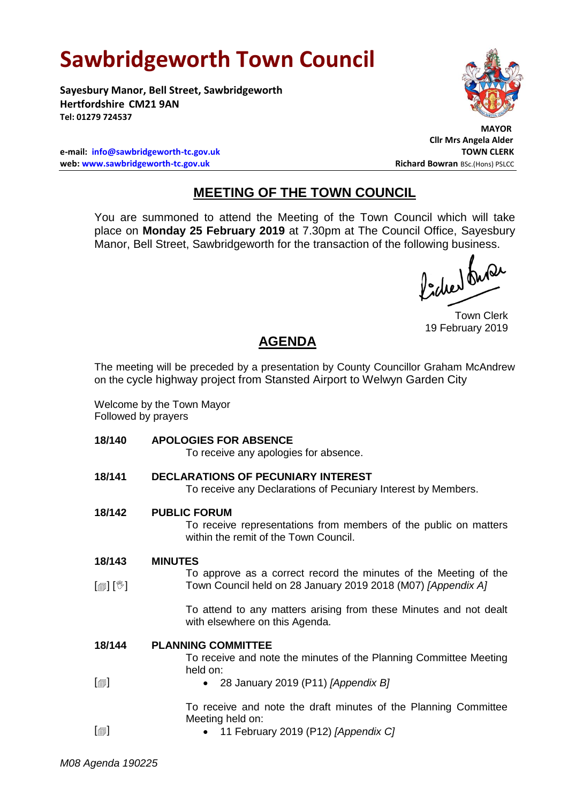## **Sawbridgeworth Town Council**

**Sayesbury Manor, Bell Street, Sawbridgeworth Hertfordshire CM21 9AN Tel: 01279 724537**

 **MAYOR**

**Cllr Mrs Angela Alder**

**e-mail: [info@sawbridgeworth-tc.gov.uk](mailto:info@sawbridgeworth-tc.gov.uk) TOWN CLERK web: www.sawbridgeworth-tc.gov.uk Richard Bowran BSc.(Hons) PSLCC Richard Bowran BSc.(Hons) PSLCC** 

## **MEETING OF THE TOWN COUNCIL**

You are summoned to attend the Meeting of the Town Council which will take place on **Monday 25 February 2019** at 7.30pm at The Council Office, Sayesbury Manor, Bell Street, Sawbridgeworth for the transaction of the following business.<br>  $\int_{\mathbb{R}} \int_{\mathbb{R}} \mathcal{M} \mathcal{M}$ 

Town Clerk 19 February 2019

## **AGENDA**

The meeting will be preceded by a presentation by County Councillor Graham McAndrew on the cycle highway project from Stansted Airport to Welwyn Garden City

Welcome by the Town Mayor Followed by prayers

**18/140 APOLOGIES FOR ABSENCE**

| APULUGIES FUR ABSENGE<br>To receive any apologies for absence.                                                                   |
|----------------------------------------------------------------------------------------------------------------------------------|
| <b>DECLARATIONS OF PECUNIARY INTEREST</b><br>To receive any Declarations of Pecuniary Interest by Members.                       |
| <b>PUBLIC FORUM</b><br>To receive representations from members of the public on matters<br>within the remit of the Town Council. |
| <b>MINUTES</b>                                                                                                                   |
| To approve as a correct record the minutes of the Meeting of the<br>Town Council held on 28 January 2019 2018 (M07) [Appendix A] |
| To attend to any matters arising from these Minutes and not dealt<br>with elsewhere on this Agenda.                              |
| <b>PLANNING COMMITTEE</b>                                                                                                        |
| To receive and note the minutes of the Planning Committee Meeting<br>held on:                                                    |
| 28 January 2019 (P11) [Appendix B]<br>٠                                                                                          |
| To receive and note the draft minutes of the Planning Committee                                                                  |
| Meeting held on:<br>11 February 2019 (P12) [Appendix C]                                                                          |
|                                                                                                                                  |